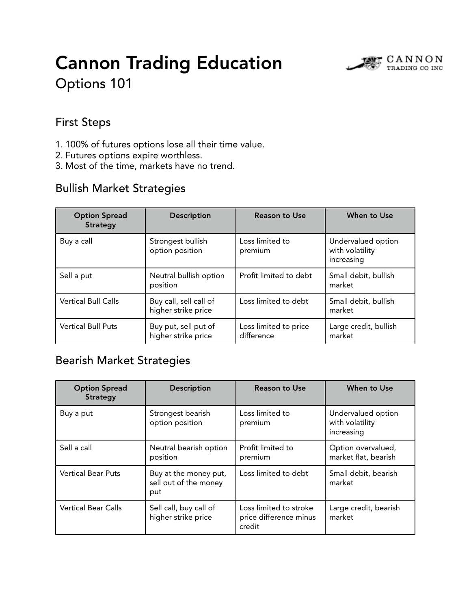# Cannon Trading Education



Options 101

### First Steps

- 1. 100% of futures options lose all their time value.
- 2. Futures options expire worthless.
- 3. Most of the time, markets have no trend.

### Bullish Market Strategies

| <b>Option Spread</b><br><b>Strategy</b> | <b>Description</b>                            | <b>Reason to Use</b>                | When to Use                                         |
|-----------------------------------------|-----------------------------------------------|-------------------------------------|-----------------------------------------------------|
| Buy a call                              | Strongest bullish<br>option position          | Loss limited to<br>premium          | Undervalued option<br>with volatility<br>increasing |
| Sell a put                              | Neutral bullish option<br>position            | Profit limited to debt              | Small debit, bullish<br>market                      |
| <b>Vertical Bull Calls</b>              | Buy call, sell call of<br>higher strike price | Loss limited to debt                | Small debit, bullish<br>market                      |
| <b>Vertical Bull Puts</b>               | Buy put, sell put of<br>higher strike price   | Loss limited to price<br>difference | Large credit, bullish<br>market                     |

### Bearish Market Strategies

| <b>Option Spread</b><br><b>Strategy</b> | <b>Description</b>                                    | <b>Reason to Use</b>                                       | When to Use                                         |
|-----------------------------------------|-------------------------------------------------------|------------------------------------------------------------|-----------------------------------------------------|
| Buy a put                               | Strongest bearish<br>option position                  | Loss limited to<br>premium                                 | Undervalued option<br>with volatility<br>increasing |
| Sell a call                             | Neutral bearish option<br>position                    | Profit limited to<br>premium                               | Option overvalued,<br>market flat, bearish          |
| <b>Vertical Bear Puts</b>               | Buy at the money put,<br>sell out of the money<br>put | Loss limited to debt                                       | Small debit, bearish<br>market                      |
| <b>Vertical Bear Calls</b>              | Sell call, buy call of<br>higher strike price         | Loss limited to stroke<br>price difference minus<br>credit | Large credit, bearish<br>market                     |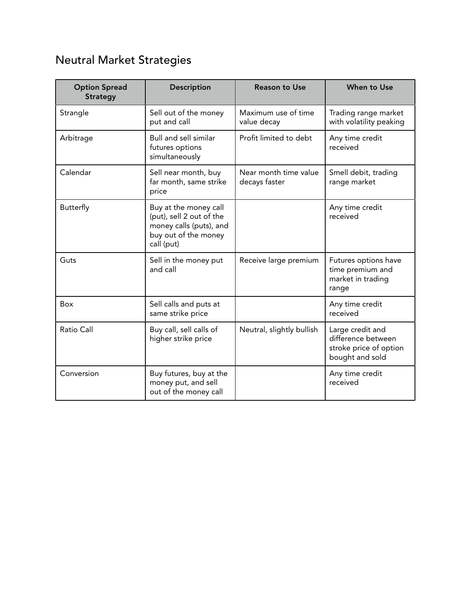# Neutral Market Strategies

| <b>Option Spread</b><br><b>Strategy</b> | <b>Description</b>                                                                                                 | <b>Reason to Use</b>                   | When to Use                                                                         |
|-----------------------------------------|--------------------------------------------------------------------------------------------------------------------|----------------------------------------|-------------------------------------------------------------------------------------|
| Strangle                                | Sell out of the money<br>put and call                                                                              | Maximum use of time<br>value decay     | Trading range market<br>with volatility peaking                                     |
| Arbitrage                               | Bull and sell similar<br>futures options<br>simultaneously                                                         | Profit limited to debt                 | Any time credit<br>received                                                         |
| Calendar                                | Sell near month, buy<br>far month, same strike<br>price                                                            | Near month time value<br>decays faster | Smell debit, trading<br>range market                                                |
| Butterfly                               | Buy at the money call<br>(put), sell 2 out of the<br>money calls (puts), and<br>buy out of the money<br>call (put) |                                        | Any time credit<br>received                                                         |
| Guts                                    | Sell in the money put<br>and call                                                                                  | Receive large premium                  | Futures options have<br>time premium and<br>market in trading<br>range              |
| Box                                     | Sell calls and puts at<br>same strike price                                                                        |                                        | Any time credit<br>received                                                         |
| Ratio Call                              | Buy call, sell calls of<br>higher strike price                                                                     | Neutral, slightly bullish              | Large credit and<br>difference between<br>stroke price of option<br>bought and sold |
| Conversion                              | Buy futures, buy at the<br>money put, and sell<br>out of the money call                                            |                                        | Any time credit<br>received                                                         |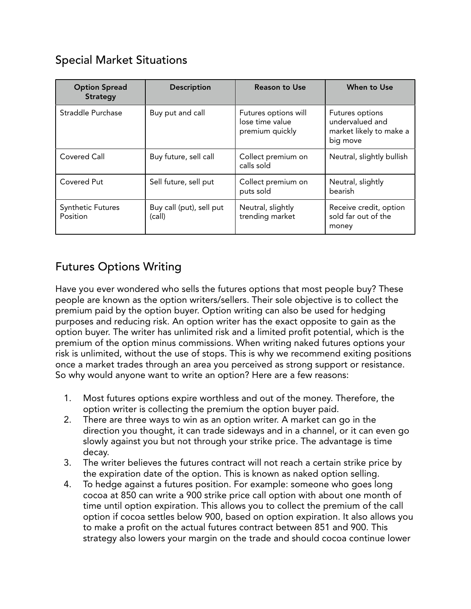### Special Market Situations

| <b>Option Spread</b><br><b>Strategy</b> | <b>Description</b>                 | <b>Reason to Use</b>                                       | When to Use                                                               |
|-----------------------------------------|------------------------------------|------------------------------------------------------------|---------------------------------------------------------------------------|
| Straddle Purchase                       | Buy put and call                   | Futures options will<br>lose time value<br>premium quickly | Futures options<br>undervalued and<br>market likely to make a<br>big move |
| <b>Covered Call</b>                     | Buy future, sell call              | Collect premium on<br>calls sold                           | Neutral, slightly bullish                                                 |
| Covered Put                             | Sell future, sell put              | Collect premium on<br>puts sold                            | Neutral, slightly<br>bearish                                              |
| <b>Synthetic Futures</b><br>Position    | Buy call (put), sell put<br>(call) | Neutral, slightly<br>trending market                       | Receive credit, option<br>sold far out of the<br>money                    |

## Futures Options Writing

Have you ever wondered who sells the futures options that most people buy? These people are known as the option writers/sellers. Their sole objective is to collect the premium paid by the option buyer. Option writing can also be used for hedging purposes and reducing risk. An option writer has the exact opposite to gain as the option buyer. The writer has unlimited risk and a limited profit potential, which is the premium of the option minus commissions. When writing naked futures options your risk is unlimited, without the use of stops. This is why we recommend exiting positions once a market trades through an area you perceived as strong support or resistance. So why would anyone want to write an option? Here are a few reasons:

- 1. Most futures options expire worthless and out of the money. Therefore, the option writer is collecting the premium the option buyer paid.
- 2. There are three ways to win as an option writer. A market can go in the direction you thought, it can trade sideways and in a channel, or it can even go slowly against you but not through your strike price. The advantage is time decay.
- 3. The writer believes the futures contract will not reach a certain strike price by the expiration date of the option. This is known as naked option selling.
- 4. To hedge against a futures position. For example: someone who goes long cocoa at 850 can write a 900 strike price call option with about one month of time until option expiration. This allows you to collect the premium of the call option if cocoa settles below 900, based on option expiration. It also allows you to make a profit on the actual futures contract between 851 and 900. This strategy also lowers your margin on the trade and should cocoa continue lower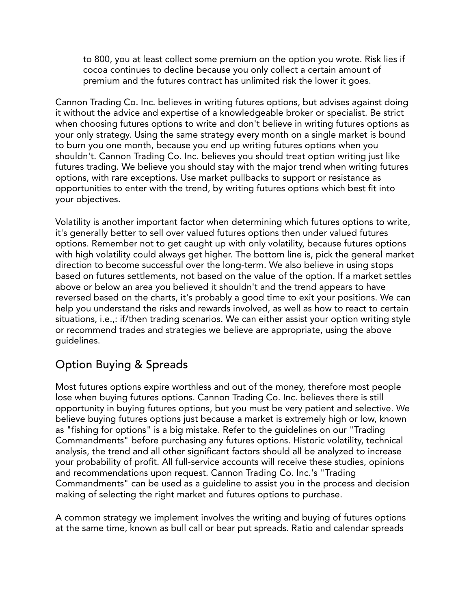to 800, you at least collect some premium on the option you wrote. Risk lies if cocoa continues to decline because you only collect a certain amount of premium and the futures contract has unlimited risk the lower it goes.

Cannon Trading Co. Inc. believes in writing futures options, but advises against doing it without the advice and expertise of a knowledgeable broker or specialist. Be strict when choosing futures options to write and don't believe in writing futures options as your only strategy. Using the same strategy every month on a single market is bound to burn you one month, because you end up writing futures options when you shouldn't. Cannon Trading Co. Inc. believes you should treat option writing just like futures trading. We believe you should stay with the major trend when writing futures options, with rare exceptions. Use market pullbacks to support or resistance as opportunities to enter with the trend, by writing futures options which best fit into your objectives.

Volatility is another important factor when determining which futures options to write, it's generally better to sell over valued futures options then under valued futures options. Remember not to get caught up with only volatility, because futures options with high volatility could always get higher. The bottom line is, pick the general market direction to become successful over the long-term. We also believe in using stops based on futures settlements, not based on the value of the option. If a market settles above or below an area you believed it shouldn't and the trend appears to have reversed based on the charts, it's probably a good time to exit your positions. We can help you understand the risks and rewards involved, as well as how to react to certain situations, i.e.,: if/then trading scenarios. We can either assist your option writing style or recommend trades and strategies we believe are appropriate, using the above guidelines.

### Option Buying & Spreads

Most futures options expire worthless and out of the money, therefore most people lose when buying futures options. Cannon Trading Co. Inc. believes there is still opportunity in buying futures options, but you must be very patient and selective. We believe buying futures options just because a market is extremely high or low, known as "fishing for options" is a big mistake. Refer to the guidelines on our "Trading Commandments" before purchasing any futures options. Historic volatility, technical analysis, the trend and all other significant factors should all be analyzed to increase your probability of profit. All full-service accounts will receive these studies, opinions and recommendations upon request. Cannon Trading Co. Inc.'s "Trading Commandments" can be used as a guideline to assist you in the process and decision making of selecting the right market and futures options to purchase.

A common strategy we implement involves the writing and buying of futures options at the same time, known as bull call or bear put spreads. Ratio and calendar spreads